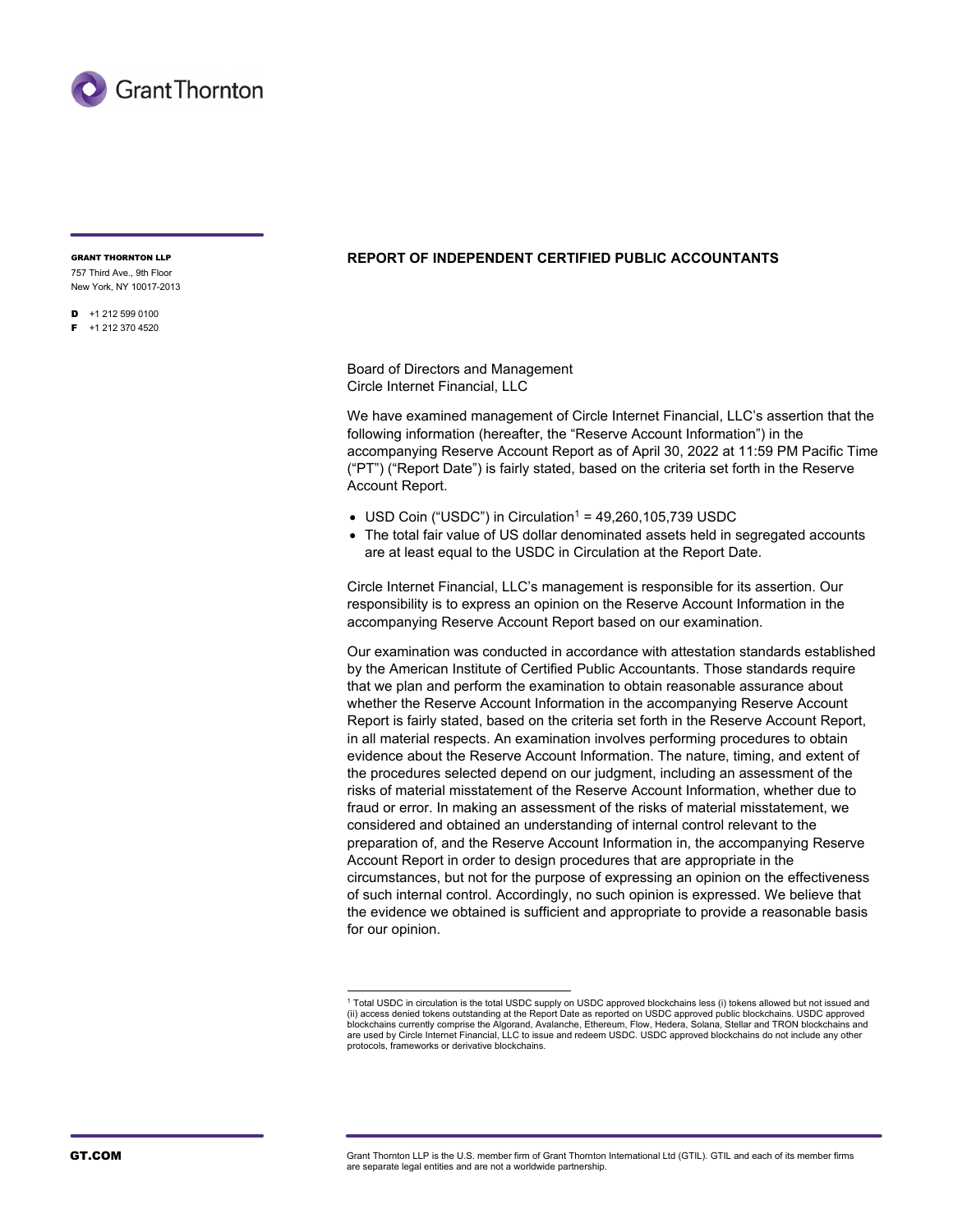

GRANT THORNTON LLP

757 Third Ave., 9th Floor New York, NY 10017-2013

 $D +1 212 599 0100$ F +1 212 370 4520

## **REPORT OF INDEPENDENT CERTIFIED PUBLIC ACCOUNTANTS**

Board of Directors and Management Circle Internet Financial, LLC

We have examined management of Circle Internet Financial, LLC's assertion that the following information (hereafter, the "Reserve Account Information") in the accompanying Reserve Account Report as of April 30, 2022 at 11:59 PM Pacific Time ("PT") ("Report Date") is fairly stated, based on the criteria set forth in the Reserve Account Report.

- USD Coin ("USDC") in Circulation<sup>1</sup> = 49,260,105,739 USDC
- The total fair value of US dollar denominated assets held in segregated accounts are at least equal to the USDC in Circulation at the Report Date.

Circle Internet Financial, LLC's management is responsible for its assertion. Our responsibility is to express an opinion on the Reserve Account Information in the accompanying Reserve Account Report based on our examination.

Our examination was conducted in accordance with attestation standards established by the American Institute of Certified Public Accountants. Those standards require that we plan and perform the examination to obtain reasonable assurance about whether the Reserve Account Information in the accompanying Reserve Account Report is fairly stated, based on the criteria set forth in the Reserve Account Report, in all material respects. An examination involves performing procedures to obtain evidence about the Reserve Account Information. The nature, timing, and extent of the procedures selected depend on our judgment, including an assessment of the risks of material misstatement of the Reserve Account Information, whether due to fraud or error. In making an assessment of the risks of material misstatement, we considered and obtained an understanding of internal control relevant to the preparation of, and the Reserve Account Information in, the accompanying Reserve Account Report in order to design procedures that are appropriate in the circumstances, but not for the purpose of expressing an opinion on the effectiveness of such internal control. Accordingly, no such opinion is expressed. We believe that the evidence we obtained is sufficient and appropriate to provide a reasonable basis for our opinion.

GT.COM GTOR GRAND GRANT GRANT GRANT GRANT GRAND GRANT GRANT GRANT GRANT GRANT GRANT GRANT GRANT GRANT GRANT GR<br>GRANT GRANT GRANT GRANT GRANT GRANT GRANT GRANT GRANT GRANT GRANT GRANT GRANT GRANT GRANT GRANT GRANT GRANT GR are separate legal entities and are not a worldwide partnership.

<sup>1</sup> Total USDC in circulation is the total USDC supply on USDC approved blockchains less (i) tokens allowed but not issued and (ii) access denied tokens outstanding at the Report Date as reported on USDC approved public blockchains. USDC approved blockchains currently comprise the Algorand, Avalanche, Ethereum, Flow, Hedera, Solana, Stellar and TRON blockchains and are used by Circle Internet Financial, LLC to issue and redeem USDC. USDC approved blockchains do not include any other protocols, frameworks or derivative blockchains.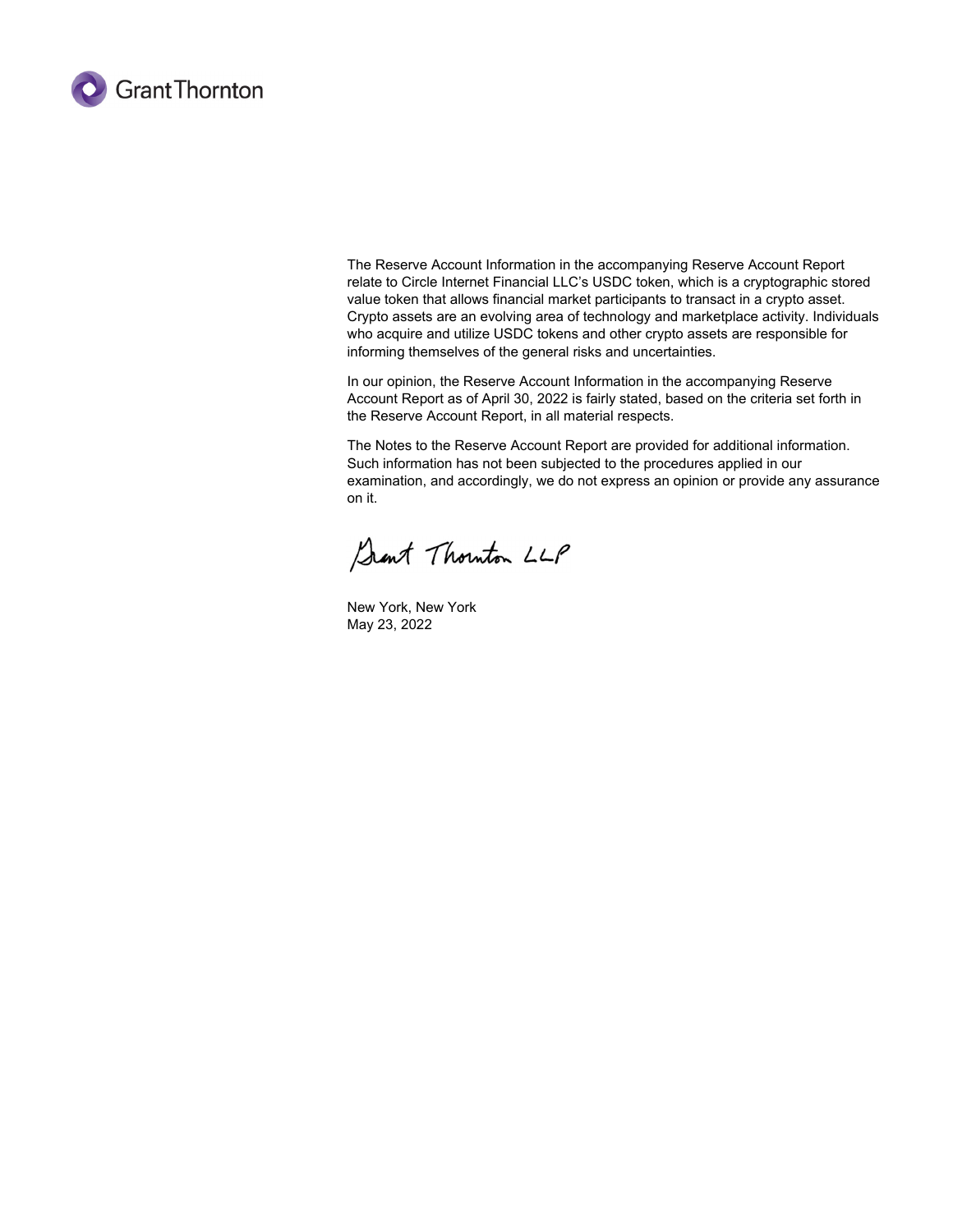

The Reserve Account Information in the accompanying Reserve Account Report relate to Circle Internet Financial LLC's USDC token, which is a cryptographic stored value token that allows financial market participants to transact in a crypto asset. Crypto assets are an evolving area of technology and marketplace activity. Individuals who acquire and utilize USDC tokens and other crypto assets are responsible for informing themselves of the general risks and uncertainties.

In our opinion, the Reserve Account Information in the accompanying Reserve Account Report as of April 30, 2022 is fairly stated, based on the criteria set forth in the Reserve Account Report, in all material respects.

The Notes to the Reserve Account Report are provided for additional information. Such information has not been subjected to the procedures applied in our examination, and accordingly, we do not express an opinion or provide any assurance on it.

Sant Thouton LLP

New York, New York May 23, 2022